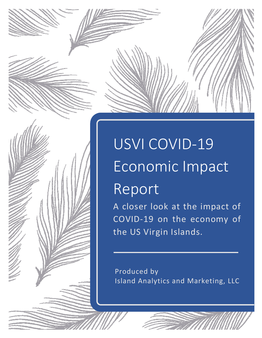# USVI COVID-19 Economic Impact Report

A closer look at the impact of COVID-19 on the economy of the US Virgin Islands.

Produced by Island Analytics and Marketing, LLC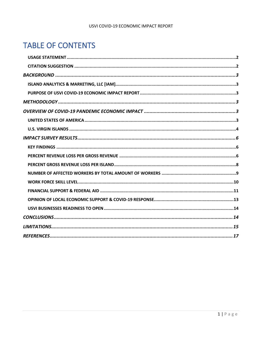#### USVI COVID-19 ECONOMIC IMPACT REPORT

## **TABLE OF CONTENTS**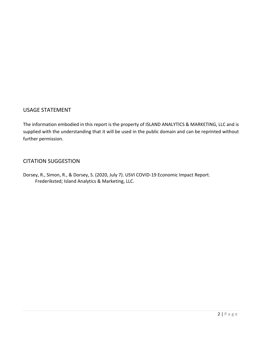#### <span id="page-2-0"></span>USAGE STATEMENT

The information embodied in this report is the property of ISLAND ANALYTICS & MARKETING, LLC and is supplied with the understanding that it will be used in the public domain and can be reprinted without further permission.

#### <span id="page-2-1"></span>CITATION SUGGESTION

Dorsey, R., Simon, R., & Dorsey, S. (2020, July 7). USVI COVID-19 Economic Impact Report. Frederiksted; Island Analytics & Marketing, LLC.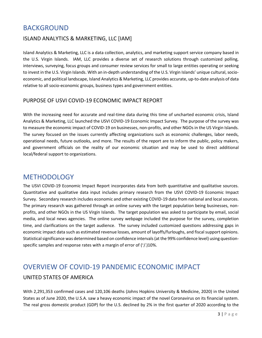## <span id="page-3-0"></span>BACKGROUND

#### <span id="page-3-1"></span>ISLAND ANALYTICS & MARKETING, LLC [IAM]

Island Analytics & Marketing, LLC is a data collection, analytics, and marketing support service company based in the U.S. Virgin Islands. IAM, LLC provides a diverse set of research solutions through customized polling, interviews, surveying, focus groups and consumer review services for small to large entities operating or seeking to invest in the U.S. Virgin Islands. With an in-depth understanding of the U.S. Virgin Islands' unique cultural, socioeconomic, and political landscape, Island Analytics & Marketing, LLC provides accurate, up-to-date analysis of data relative to all socio-economic groups, business types and government entities.

#### <span id="page-3-2"></span>PURPOSE OF USVI COVID-19 ECONOMIC IMPACT REPORT

With the increasing need for accurate and real-time data during this time of uncharted economic crisis, Island Analytics & Marketing, LLC launched the USVI COVID-19 Economic Impact Survey. The purpose of the survey was to measure the economic impact of COVID-19 on businesses, non-profits, and other NGOs in the US Virgin Islands. The survey focused on the issues currently affecting organizations such as economic challenges, labor needs, operational needs, future outlooks, and more. The results of the report are to inform the public, policy makers, and government officials on the reality of our economic situation and may be used to direct additional local/federal support to organizations.

## <span id="page-3-3"></span>**METHODOLOGY**

The USVI COVID-19 Economic Impact Report incorporates data from both quantitative and qualitative sources. Quantitative and qualitative data input includes primary research from the USVI COVID-19 Economic Impact Survey. Secondary research includes economic and other existing COVID-19 data from national and local sources. The primary research was gathered through an online survey with the target population being businesses, nonprofits, and other NGOs in the US Virgin Islands. The target population was asked to participate by email, social media, and local news agencies. The online survey webpage included the purpose for the survey, completion time, and clarifications on the target audience. The survey included customized questions addressing gaps in economic impact data such as estimated revenue losses, amount of layoffs/furloughs, and fiscal support opinions. Statistical significance was determined based on confidence intervals (at the 99% confidence level) using questionspecific samples and response rates with a margin of error of ( $'/$ .)10%.

## <span id="page-3-4"></span>OVERVIEW OF COVID-19 PANDEMIC ECONOMIC IMPACT

#### <span id="page-3-5"></span>UNITED STATES OF AMERICA

With 2,291,353 confirmed cases and 120,106 deaths (Johns Hopkins University & Medicine, 2020) in the United States as of June 2020, the U.S.A. saw a heavy economic impact of the novel Coronavirus on its financial system. The real gross domestic product (GDP) for the U.S. declined by 2% in the first quarter of 2020 according to the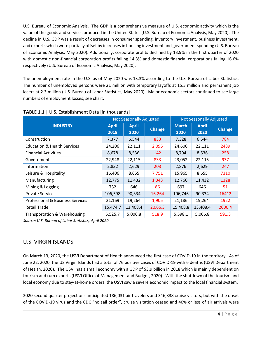U.S. Bureau of Economic Analysis. The GDP is a comprehensive measure of U.S. economic activity which is the value of the goods and services produced in the United States (U.S. Bureau of Economic Analysis, May 2020). The decline in U.S. GDP was a result of decreases in consumer spending, inventory investment, business investment, and exports which were partially offset by increases in housing investment and government spending (U.S. Bureau of Economic Analysis, May 2020). Additionally, corporate profits declined by 13.9% in the first quarter of 2020 with domestic non-financial corporation profits falling 14.3% and domestic financial corporations falling 16.6% respectively (U.S. Bureau of Economic Analysis, May 2020).

The unemployment rate in the U.S. as of May 2020 was 13.3% according to the U.S. Bureau of Labor Statistics. The number of unemployed persons were 21 million with temporary layoffs at 15.3 million and permanent job losers at 2.3 million (U.S. Bureau of Labor Statistics, May 2020). Major economic sectors continued to see large numbers of employment losses, see chart.

|                                             |                      | <b>Not Seasonally Adjusted</b> |               | <b>Not Seasonally Adjusted</b> |                      |               |  |
|---------------------------------------------|----------------------|--------------------------------|---------------|--------------------------------|----------------------|---------------|--|
| <b>INDUSTRY</b>                             | <b>April</b><br>2019 | <b>April</b><br>2020           | <b>Change</b> | <b>March</b><br>2020           | <b>April</b><br>2020 | <b>Change</b> |  |
| Construction                                |                      | 6,544                          |               |                                | 6,544                | 784           |  |
|                                             | 7,377                |                                | 833           | 7,328                          |                      |               |  |
| <b>Education &amp; Health Services</b>      | 24,206               | 22,111                         | 2,095         | 24,600                         | 22,111               | 2489          |  |
| <b>Financial Activities</b>                 | 8,678                | 8,536                          | 142           | 8,794                          | 8,536                | 258           |  |
| Government                                  | 22,948               | 22,115                         | 833           | 23,052                         | 22,115               | 937           |  |
| Information                                 | 2,832                | 2,629                          | 203           | 2,876                          | 2,629                | 247           |  |
| Leisure & Hospitality                       | 16,406               | 8,655                          | 7,751         | 15,965                         | 8,655                | 7310          |  |
| Manufacturing                               | 12,775               | 11,432                         | 1,343         | 12,760                         | 11,432               | 1328          |  |
| Mining & Logging                            | 732                  | 646                            | 86            | 697                            | 646                  | 51            |  |
| <b>Private Services</b>                     | 106,598              | 90,334                         | 16,264        | 106,746                        | 90,334               | 16412         |  |
| <b>Professional &amp; Business Services</b> | 21,169               | 19,264                         | 1,905         | 21,186                         | 19,264               | 1922          |  |
| <b>Retail Trade</b>                         | 15,474.7             | 13,408.4                       | 2,066.3       | 15,408.8                       | 13,408.4             | 2000.4        |  |
| <b>Transportation &amp; Warehousing</b>     | 5,525.7              | 5,006.8                        | 518.9         | 5,598.1                        | 5,006.8              | 591.3         |  |

**TABLE 1.1** | U.S. Establishment Data [in thousands]

*Source: U.S. Bureau of Labor Statistics, April 2020*

#### <span id="page-4-0"></span>U.S. VIRGIN ISLANDS

On March 13, 2020, the USVI Department of Health announced the first case of COVID-19 in the territory. As of June 22, 2020, the US Virgin Islands had a total of 76 positive cases of COVID-19 with 6 deaths (USVI Department of Health, 2020). The USVI has a small economy with a GDP of \$3.9 billion in 2018 which is mainly dependent on tourism and rum exports (USVI Office of Management and Budget, 2020). With the shutdown of the tourism and local economy due to stay-at-home orders, the USVI saw a severe economic impact to the local financial system.

2020 second quarter projections anticipated 186,031 air travelers and 346,338 cruise visitors, but with the onset of the COVID-19 virus and the CDC "no sail order", cruise visitation ceased and 40% or less of air arrivals were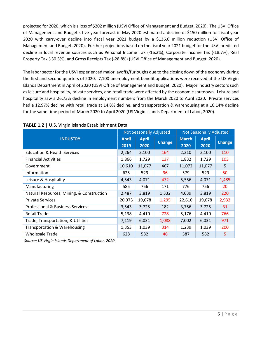projected for 2020, which is a loss of \$202 million (USVI Office of Management and Budget, 2020). The USVI Office of Management and Budget's five-year forecast in May 2020 estimated a decline of \$150 million for fiscal year 2020 with carry-over decline into fiscal year 2021 budget by a \$136.6 million reduction (USVI Office of Management and Budget, 2020). Further projections based on the fiscal year 2021 budget for the USVI predicted decline in local revenue sources such as Personal Income Tax (-16.2%), Corporate Income Tax (-18.7%), Real Property Tax (-30.3%), and Gross Receipts Tax (-28.8%) (USVI Office of Management and Budget, 2020).

The labor sector for the USVI experienced major layoffs/furloughs due to the closing down of the economy during the first and second quarters of 2020. 7,100 unemployment benefit applications were received at the US Virgin Islands Department in April of 2020 (USVI Office of Management and Budget, 2020). Major industry sectors such as leisure and hospitality, private services, and retail trade were affected by the economic shutdown. Leisure and hospitality saw a 26.73% decline in employment numbers from the March 2020 to April 2020. Private services had a 12.97% decline with retail trade at 14.8% decline, and transportation & warehousing at a 16.14% decline for the same time period of March 2020 to April 2020 (US Virgin Islands Department of Labor, 2020).

|                                             |                      | <b>Not Seasonally Adjusted</b> |               | <b>Not Seasonally Adjusted</b> |                      |               |
|---------------------------------------------|----------------------|--------------------------------|---------------|--------------------------------|----------------------|---------------|
| <b>INDUSTRY</b>                             | <b>April</b><br>2019 | <b>April</b><br>2020           | <b>Change</b> | <b>March</b><br>2020           | <b>April</b><br>2020 | <b>Change</b> |
| <b>Education &amp; Health Services</b>      | 2,264                | 2,100                          | 164           | 2,210                          | 2,100                | 110           |
| <b>Financial Activities</b>                 | 1,866                | 1,729                          | 137           | 1,832                          | 1,729                | 103           |
| Government                                  | 10,610               | 11,077                         | 467           | 11,072                         | 11,077               | 5             |
| Information                                 | 625                  | 529                            | 96            | 579                            | 529                  | 50            |
| Leisure & Hospitality                       | 4,543                | 4,071                          | 472           | 5,556                          | 4,071                | 1,485         |
| Manufacturing                               | 585                  | 756                            | 171           | 776                            | 756                  | 20            |
| Natural Resources, Mining, & Construction   | 2,487                | 3,819                          | 1,332         | 4,039                          | 3,819                | 220           |
| <b>Private Services</b>                     | 20,973               | 19,678                         | 1,295         | 22,610                         | 19,678               | 2,932         |
| <b>Professional &amp; Business Services</b> | 3,543                | 3,725                          | 182           | 3,756                          | 3,725                | 31            |
| <b>Retail Trade</b>                         | 5,138                | 4,410                          | 728           | 5,176                          | 4,410                | 766           |
| Trade, Transportation, & Utilities          | 7,119                | 6,031                          | 1,088         | 7,002                          | 6,031                | 971           |
| <b>Transportation &amp; Warehousing</b>     | 1,353                | 1,039                          | 314           | 1,239                          | 1,039                | 200           |
| <b>Wholesale Trade</b>                      | 628                  | 582                            | 46            | 587                            | 582                  | 5             |

#### **TABLE 1.2** | U.S. Virgin Islands Establishment Data

*Source: US Virgin Islands Department of Labor, 2020*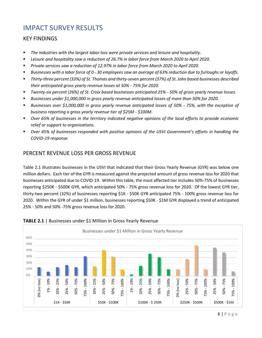## <span id="page-6-0"></span>IMPACT SURVEY RESULTS

#### <span id="page-6-1"></span>KEY FINDINGS

- *The industries with the largest labor loss were private services and leisure and hospitality.*
- *Leisure and hospitality saw a reduction of 26.7% in labor force from March 2020 to April 2020.*
- *Private services saw a reduction of 12.97% in labor force from March 2020 to April 2020.*
- *Businesses with a labor force of 0 - 30 employees saw an average of 63% reduction due to furloughs or layoffs.*
- *Thirty-three percent (33%) of St. Thomas and thirty-seven percent (37%) of St. John based businesses described their anticipated gross yearly revenue losses at 50% - 75% for 2020.*
- *Twenty-six percent (26%) of St. Croix based businesses anticipated 25% - 50% of gross yearly revenue losses.*
- *Businesses under \$1,000,000 in gross yearly revenue anticipated losses of more than 50% for 2020.*
- *Businesses over \$1,000,000 in gross yearly revenue anticipated losses of 50% - 75%, with the exception of business reporting a gross yearly revenue tier of \$25M - \$100M.*
- *Over 65% of businesses in the territory indicated negative opinions of the local efforts to provide economic relief or support to organizations.*
- *Over 45% of businesses responded with positive opinions of the USVI Government's efforts in handling the COVID-19 response.*

#### <span id="page-6-2"></span>PERCENT REVENUE LOSS PER GROSS REVENUE

Table 2.1 illustrates businesses in the USVI that indicated that their Gross Yearly Revenue (GYR) was below one million dollars. Each tier of the GYR is measured against the projected amount of gross revenue loss for 2020 that businesses anticipated due to COVID-19. Within this table, the most affected tier includes 50%-75% of businesses reporting \$250K - \$500K GYR, which anticipated 50% - 75% gross revenue loss for 2020. Of the lowest GYR tier, thirty-two percent (32%) of businesses reporting \$1K - \$50K GYR anticipated 75% - 100% gross revenue loss for 2020. Within the GYR of under \$1 million, businesses reporting \$50K - \$1M GYR displayed a trend of anticipated 25% - 50% and 50% -75% gross revenue loss for 2020.



#### **TABLE 2.1** | Businesses under \$1 Million in Gross Yearly Revenue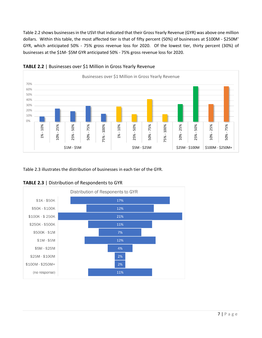Table 2.2 shows businesses in the USVI that indicated that their Gross Yearly Revenue (GYR) was above one million dollars. Within this table, the most affected tier is that of fifty percent (50%) of businesses at \$100M - \$250M<sup>+</sup> GYR, which anticipated 50% - 75% gross revenue loss for 2020. Of the lowest tier, thirty percent (30%) of businesses at the \$1M- \$5M GYR anticipated 50% - 75% gross revenue loss for 2020.





Table 2.3 illustrates the distribution of businesses in each tier of the GYR.



**TABLE 2.3** | Distribution of Respondents to GYR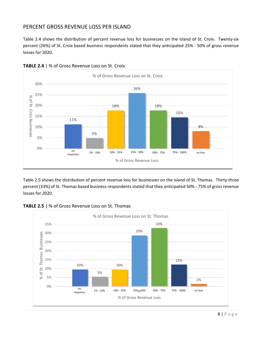#### <span id="page-8-0"></span>PERCENT GROSS REVENUE LOSS PER ISLAND

Table 2.4 shows the distribution of percent revenue loss for businesses on the island of St. Croix. Twenty-six percent (26%) of St. Croix based business respondents stated that they anticipated 25% - 50% of gross revenue losses for 2020.



**TABLE 2.4** | % of Gross Revenue Loss on St. Croix

Table 2.5 shows the distribution of percent revenue loss for businesses on the island of St. Thomas. Thirty-three percent (33%) of St. Thomas based business respondents stated that they anticipated 50% - 75% of gross revenue losses for 2020.



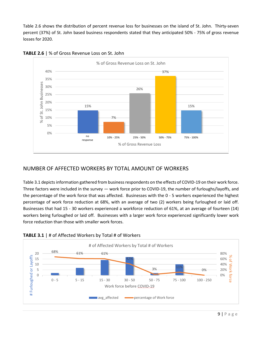Table 2.6 shows the distribution of percent revenue loss for businesses on the island of St. John. Thirty-seven percent (37%) of St. John based business respondents stated that they anticipated 50% - 75% of gross revenue losses for 2020.





#### <span id="page-9-0"></span>NUMBER OF AFFECTED WORKERS BY TOTAL AMOUNT OF WORKERS

Table 3.1 depicts information gathered from business respondents on the effects of COVID-19 on their work force. Three factors were included in the survey — work force prior to COVID-19, the number of furloughs/layoffs, and the percentage of the work force that was affected. Businesses with the 0 - 5 workers experienced the highest percentage of work force reduction at 68%, with an average of two (2) workers being furloughed or laid off. Businesses that had 15 - 30 workers experienced a workforce reduction of 61%, at an average of fourteen (14) workers being furloughed or laid off. Businesses with a larger work force experienced significantly lower work force reduction than those with smaller work forces.



**TABLE 3.1** | # of Affected Workers by Total # of Workers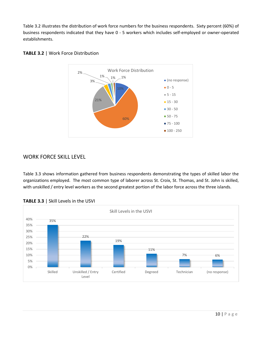Table 3.2 illustrates the distribution of work force numbers for the business respondents. Sixty percent (60%) of business respondents indicated that they have 0 - 5 workers which includes self-employed or owner-operated establishments.



#### **TABLE 3.2** | Work Force Distribution

#### <span id="page-10-0"></span>WORK FORCE SKILL LEVEL

Table 3.3 shows information gathered from business respondents demonstrating the types of skilled labor the organizations employed. The most common type of laborer across St. Croix, St. Thomas, and St. John is skilled, with unskilled / entry level workers as the second greatest portion of the labor force across the three islands.



**TABLE 3.3** | Skill Levels in the USVI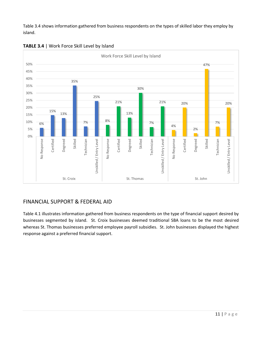Table 3.4 shows information gathered from business respondents on the types of skilled labor they employ by island.



**TABLE 3.4** | Work Force Skill Level by Island

#### <span id="page-11-0"></span>FINANCIAL SUPPORT & FEDERAL AID

Table 4.1 illustrates information gathered from business respondents on the type of financial support desired by businesses segmented by island. St. Croix businesses deemed traditional SBA loans to be the most desired whereas St. Thomas businesses preferred employee payroll subsidies. St. John businesses displayed the highest response against a preferred financial support.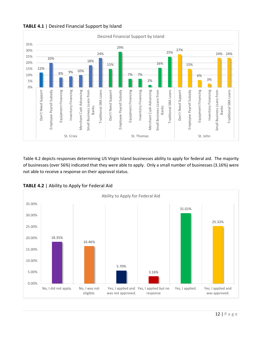

**TABLE 4.1** | Desired Financial Support by Island

Table 4.2 depicts responses determining US Virgin Island businesses ability to apply for federal aid. The majority of businesses (over 56%) indicated that they were able to apply. Only a small number of businesses (3.16%) were not able to receive a response on their approval status.



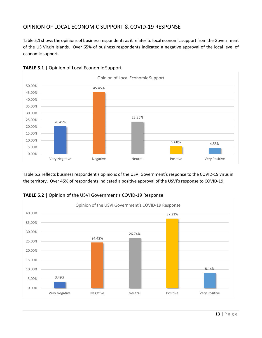#### <span id="page-13-0"></span>OPINION OF LOCAL ECONOMIC SUPPORT & COVID-19 RESPONSE

Table 5.1 shows the opinions of business respondents as it relates to local economic support from the Government of the US Virgin Islands. Over 65% of business respondents indicated a negative approval of the local level of economic support.





Table 5.2 reflects business respondent's opinions of the USVI Government's response to the COVID-19 virus in the territory. Over 45% of respondents indicated a positive approval of the USVI's response to COVID-19.



**TABLE 5.2** | Opinion of the USVI Government's COVID-19 Response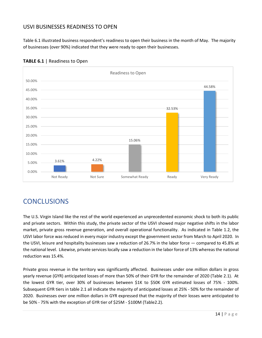#### <span id="page-14-0"></span>USVI BUSINESSES READINESS TO OPEN

Table 6.1 illustrated business respondent's readiness to open their business in the month of May. The majority of businesses (over 90%) indicated that they were ready to open their businesses.



#### **TABLE 6.1** | Readiness to Open

## <span id="page-14-1"></span>**CONCLUSIONS**

The U.S. Virgin Island like the rest of the world experienced an unprecedented economic shock to both its public and private sectors. Within this study, the private sector of the USVI showed major negative shifts in the labor market, private gross revenue generation, and overall operational functionality. As indicated in Table 1.2, the USVI labor force was reduced in every major industry except the government sector from March to April 2020. In the USVI, leisure and hospitality businesses saw a reduction of 26.7% in the labor force — compared to 45.8% at the national level. Likewise, private services locally saw a reduction in the labor force of 13% whereas the national reduction was 15.4%.

Private gross revenue in the territory was significantly affected. Businesses under one million dollars in gross yearly revenue (GYR) anticipated losses of more than 50% of their GYR for the remainder of 2020 (Table 2.1). At the lowest GYR tier, over 30% of businesses between \$1K to \$50K GYR estimated losses of 75% - 100%. Subsequent GYR tiers in table 2.1 all indicate the majority of anticipated losses at 25% - 50% for the remainder of 2020. Businesses over one million dollars in GYR expressed that the majority of their losses were anticipated to be 50% - 75% with the exception of GYR tier of \$25M - \$100M (Table2.2).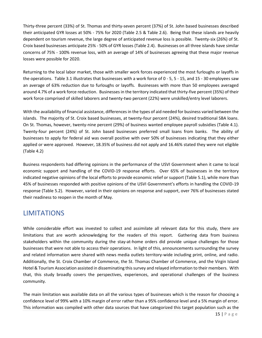Thirty-three percent (33%) of St. Thomas and thirty-seven percent (37%) of St. John based businesses described their anticipated GYR losses at 50% - 75% for 2020 (Table 2.5 & Table 2.6). Being that these islands are heavily dependent on tourism revenue, the large degree of anticipated revenue loss is possible. Twenty-six (26%) of St. Croix based businesses anticipate 25% - 50% of GYR losses (Table 2.4). Businesses on all three islands have similar concerns of 75% - 100% revenue loss, with an average of 14% of businesses agreeing that these major revenue losses were possible for 2020.

Returning to the local labor market, those with smaller work forces experienced the most furloughs or layoffs in the operations. Table 3.1 illustrates that businesses with a work force of 0 - 5, 5 - 15, and 15 - 30 employees saw an average of 63% reduction due to furloughs or layoffs. Businesses with more than 50 employees averaged around 4.7% of a work force reduction. Businesses in the territory indicated that thirty-five percent (35%) of their work force comprised of skilled laborers and twenty-two percent (22%) were unskilled/entry level laborers.

With the availability of financial assistance, differences in the types of aid needed for business varied between the islands. The majority of St. Croix based businesses, at twenty-four percent (24%), desired traditional SBA loans. On St. Thomas, however, twenty-nine percent (29%) of business wanted employee payroll subsidies (Table 4.1). Twenty-four percent (24%) of St. John based businesses preferred small loans from banks. The ability of businesses to apply for federal aid was overall positive with over 50% of businesses indicating that they either applied or were approved. However, 18.35% of business did not apply and 16.46% stated they were not eligible (Table 4.2)

Business respondents had differing opinions in the performance of the USVI Government when it came to local economic support and handling of the COVID-19 response efforts. Over 65% of businesses in the territory indicated negative opinions of the local efforts to provide economic relief or support (Table 5.1), while more than 45% of businesses responded with positive opinions of the USVI Government's efforts in handling the COVID-19 response (Table 5.2). However, varied in their opinions on response and support, over 76% of businesses stated their readiness to reopen in the month of May.

## <span id="page-15-0"></span>LIMITATIONS

While considerable effort was invested to collect and assimilate all relevant data for this study, there are limitations that are worth acknowledging for the readers of this report. Gathering data from business stakeholders within the community during the stay-at-home orders did provide unique challenges for those businesses that were not able to access their operations. In light of this, announcements surrounding the survey and related information were shared with news media outlets territory-wide including print, online, and radio. Additionally, the St. Croix Chamber of Commerce, the St. Thomas Chamber of Commerce, and the Virgin Island Hotel & Tourism Association assisted in disseminating this survey and relayed information to their members. With that, this study broadly covers the perspectives, experiences, and operational challenges of the business community.

The main limitation was available data on all the various types of businesses which is the reason for choosing a confidence level of 99% with a 10% margin of error rather than a 95% confidence level and a 5% margin of error. This information was compiled with other data sources that have categorized this target population such as the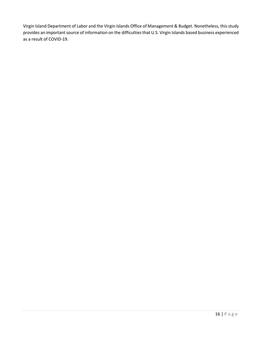Virgin Island Department of Labor and the Virgin Islands Office of Management & Budget. Nonetheless, this study provides an important source of information on the difficulties that U.S. Virgin Islands based business experienced as a result of COVID-19.